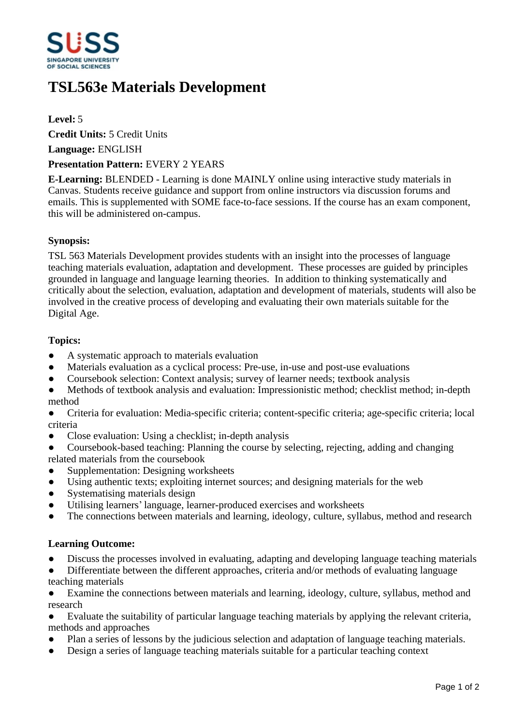

# **TSL563e Materials Development**

# **Level:** 5

**Credit Units:** 5 Credit Units

**Language:** ENGLISH

### **Presentation Pattern:** EVERY 2 YEARS

**E-Learning:** BLENDED - Learning is done MAINLY online using interactive study materials in Canvas. Students receive guidance and support from online instructors via discussion forums and emails. This is supplemented with SOME face-to-face sessions. If the course has an exam component, this will be administered on-campus.

#### **Synopsis:**

TSL 563 Materials Development provides students with an insight into the processes of language teaching materials evaluation, adaptation and development. These processes are guided by principles grounded in language and language learning theories. In addition to thinking systematically and critically about the selection, evaluation, adaptation and development of materials, students will also be involved in the creative process of developing and evaluating their own materials suitable for the Digital Age.

# **Topics:**

- A systematic approach to materials evaluation
- Materials evaluation as a cyclical process: Pre-use, in-use and post-use evaluations
- Coursebook selection: Context analysis; survey of learner needs; textbook analysis
- Methods of textbook analysis and evaluation: Impressionistic method; checklist method; in-depth method
- Criteria for evaluation: Media-specific criteria; content-specific criteria; age-specific criteria; local criteria
- ƔClose evaluation: Using a checklist; in-depth analysis
- Coursebook-based teaching: Planning the course by selecting, rejecting, adding and changing related materials from the coursebook
- Supplementation: Designing worksheets
- Using authentic texts; exploiting internet sources; and designing materials for the web
- Systematising materials design
- Utilising learners' language, learner-produced exercises and worksheets
- The connections between materials and learning, ideology, culture, syllabus, method and research

# **Learning Outcome:**

- Discuss the processes involved in evaluating, adapting and developing language teaching materials
- Differentiate between the different approaches, criteria and/or methods of evaluating language teaching materials
- Examine the connections between materials and learning, ideology, culture, syllabus, method and research
- Evaluate the suitability of particular language teaching materials by applying the relevant criteria, methods and approaches
- Plan a series of lessons by the judicious selection and adaptation of language teaching materials.
- Design a series of language teaching materials suitable for a particular teaching context